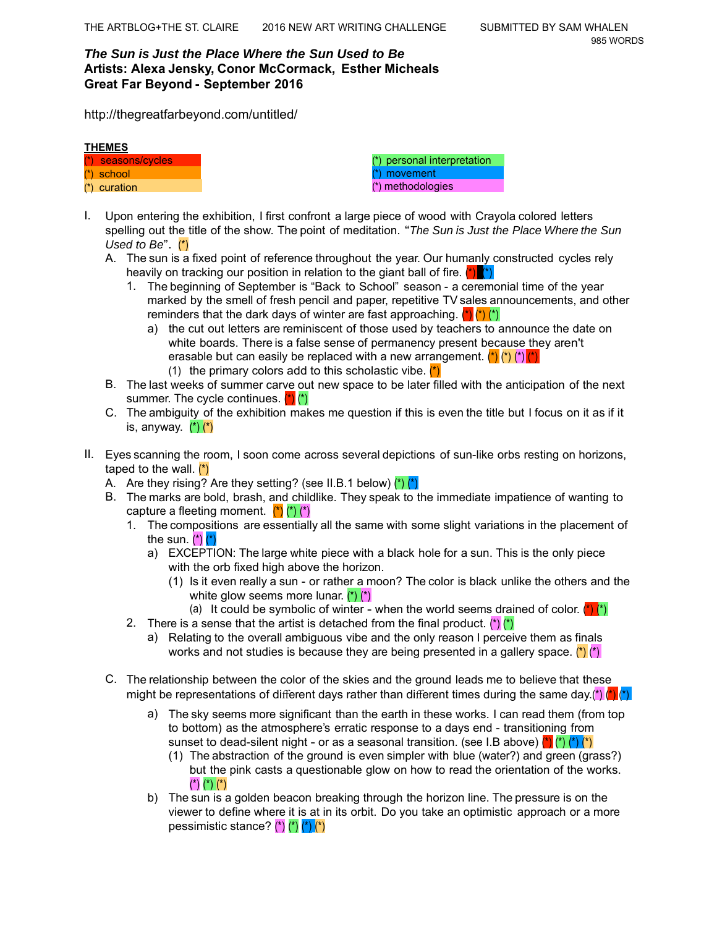## *The Sun is Just the Place Where the Sun Used to Be*  **Artists: Alexa Jensky, Conor McCormack, Esther Micheals Great Far Beyond - September 2016**

http://thegreatfarbeyond.com/untitled/

| <b>THEMES</b> |                    |  |
|---------------|--------------------|--|
|               | (*) seasons/cycles |  |
|               | $(*)$ school       |  |
|               | $(*)$ curation     |  |

| (*) personal interpretation |
|-----------------------------|
| (*) movement                |
| (*) methodologies           |

- I. Upon entering the exhibition, I first confront a large piece of wood with Crayola colored letters spelling out the title of the show. The point of meditation. "*The Sun is Just the Place Where the Sun Used to Be*". (\*)
	- A. The sun is a fixed point of reference throughout the year. Our humanly constructed cycles rely heavily on tracking our position in relation to the giant ball of fire.  $\binom{x}{k}$   $\binom{x}{k}$ 
		- 1. The beginning of September is "Back to School" season a ceremonial time of the year marked by the smell of fresh pencil and paper, repetitive TV sales announcements, and other reminders that the dark days of winter are fast approaching.  $(\cdot)$   $(\cdot)$ 
			- a) the cut out letters are reminiscent of those used by teachers to announce the date on white boards. There is a false sense of permanency present because they aren't erasable but can easily be replaced with a new arrangement.  $(*)$  (\*)  $(*)$  (\*) (1) the primary colors add to this scholastic vibe.  $(*)$
	- B. The last weeks of summer carve out new space to be later filled with the anticipation of the next summer. The cycle continues. (\*) (\*)
	- C. The ambiguity of the exhibition makes me question if this is even the title but I focus on it as if it is, anyway.  $(*)$   $(*)$
- II. Eyes scanning the room, I soon come across several depictions of sun-like orbs resting on horizons, taped to the wall.  $(*)$ 
	- A. Are they rising? Are they setting? (see II.B.1 below)  $(*)$   $(*)$
	- B. The marks are bold, brash, and childlike. They speak to the immediate impatience of wanting to capture a fleeting moment.  $(*)$  (\*)  $(*)$ 
		- 1. The compositions are essentially all the same with some slight variations in the placement of the sun.  $(*)$   $(*)$ 
			- a) EXCEPTION: The large white piece with a black hole for a sun. This is the only piece with the orb fixed high above the horizon.
				- (1) Is it even really a sun or rather a moon? The color is black unlike the others and the white glow seems more lunar.  $(*)$   $(*)$ 
					- (a) It could be symbolic of winter when the world seems drained of color.  $(*)$
		- 2. There is a sense that the artist is detached from the final product.  $(*)$  (\*)
			- a) Relating to the overall ambiguous vibe and the only reason I perceive them as finals works and not studies is because they are being presented in a gallery space. (\*)  $(*)$
	- C. The relationship between the color of the skies and the ground leads me to believe that these might be representations of different days rather than different times during the same day.(\*)  $\binom{\ast}{r}$ 
		- a) The sky seems more significant than the earth in these works. I can read them (from top to bottom) as the atmosphere's erratic response to a days end - transitioning from sunset to dead-silent night - or as a seasonal transition. (see I.B above)  $\binom{n}{1}$   $\binom{n}{2}$   $\binom{n}{3}$ 
			- (1) The abstraction of the ground is even simpler with blue (water?) and green (grass?) but the pink casts a questionable glow on how to read the orientation of the works. (\*) (\*) (\*)
		- b) The sun is a golden beacon breaking through the horizon line. The pressure is on the viewer to define where it is at in its orbit. Do you take an optimistic approach or a more pessimistic stance?  $'$   $'$   $'$  $'$  $'$  $'$  $'$  $'$  $'$  $'$  $'$  $'$  $'$